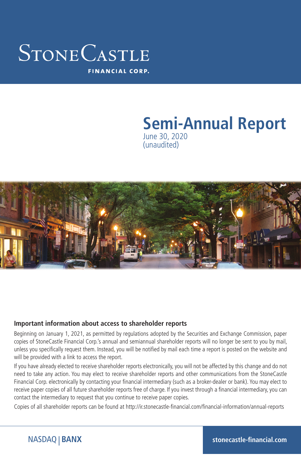### STONECASTLE **FINANCIAL CORP.**

#### **Semi-Annual Report** June 30, 2020 (unaudited)



#### **Important information about access to shareholder reports**

Beginning on January 1, 2021, as permitted by regulations adopted by the Securities and Exchange Commission, paper copies of StoneCastle Financial Corp.'s annual and semiannual shareholder reports will no longer be sent to you by mail, unless you specifically request them. Instead, you will be notified by mail each time a report is posted on the website and will be provided with a link to access the report.

If you have already elected to receive shareholder reports electronically, you will not be affected by this change and do not need to take any action. You may elect to receive shareholder reports and other communications from the StoneCastle Financial Corp. electronically by contacting your financial intermediary (such as a broker-dealer or bank). You may elect to receive paper copies of all future shareholder reports free of charge. If you invest through a financial intermediary, you can contact the intermediary to request that you continue to receive paper copies.

Copies of all shareholder reports can be found at http://ir.stonecastle-financial.com/financial-information/annual-reports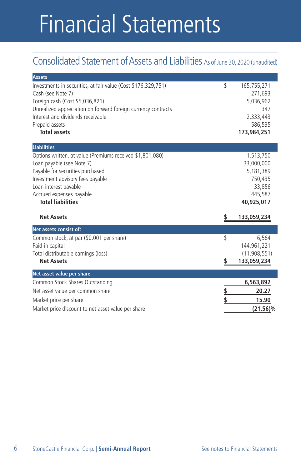# Financial Statements

### Consolidated Statement of Assets and Liabilities As of June 30, 2020 (unaudited)

| <b>Assets</b>                                                                                                                                                                                                                                                        |               |                                                                                                   |
|----------------------------------------------------------------------------------------------------------------------------------------------------------------------------------------------------------------------------------------------------------------------|---------------|---------------------------------------------------------------------------------------------------|
| Investments in securities, at fair value (Cost \$176,329,751)<br>Cash (see Note 7)<br>Foreign cash (Cost \$5,036,821)<br>Unrealized appreciation on forward foreign currency contracts<br>Interest and dividends receivable<br>Prepaid assets<br><b>Total assets</b> | \$            | 165,755,271<br>271,693<br>5,036,962<br>347<br>2,333,443<br>586,535<br>173,984,251                 |
| <b>Liabilities</b>                                                                                                                                                                                                                                                   |               |                                                                                                   |
| Options written, at value (Premiums received \$1,801,080)<br>Loan payable (see Note 7)<br>Payable for securities purchased<br>Investment advisory fees payable<br>Loan interest payable<br>Accrued expenses payable<br><b>Total liabilities</b><br><b>Net Assets</b> |               | 1,513,750<br>33,000,000<br>5,181,389<br>750,435<br>33,856<br>445,587<br>40,925,017<br>133,059,234 |
| Net assets consist of:                                                                                                                                                                                                                                               |               |                                                                                                   |
| Common stock, at par (\$0.001 per share)<br>Paid-in capital<br>Total distributable earnings (loss)<br><b>Net Assets</b>                                                                                                                                              | \$<br>\$      | 6,564<br>144,961,221<br>(11,908,551)<br>133,059,234                                               |
| Net asset value per share                                                                                                                                                                                                                                            |               |                                                                                                   |
| Common Stock Shares Outstanding<br>Net asset value per common share<br>Market price per share<br>Market price discount to net asset value per share                                                                                                                  | <u>Տ</u><br>Տ | 6,563,892<br>20.27<br>15.90<br>(21.56)%                                                           |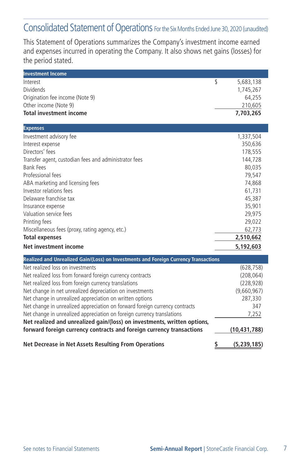### Consolidated Statement of Operations For the Six Months Ended June 30, 2020 (unaudited)

This Statement of Operations summarizes the Company's investment income earned and expenses incurred in operating the Company. It also shows net gains (losses) for the period stated.

| <b>Investment Income</b>                                                             |                     |
|--------------------------------------------------------------------------------------|---------------------|
| Interest                                                                             | \$<br>5,683,138     |
| <b>Dividends</b>                                                                     | 1,745,267           |
| Origination fee income (Note 9)                                                      | 64,255              |
| Other income (Note 9)                                                                | 210,605             |
| <b>Total investment income</b>                                                       | 7,703,265           |
| <b>Expenses</b>                                                                      |                     |
| Investment advisory fee                                                              | 1,337,504           |
| Interest expense                                                                     | 350,636             |
| Directors' fees                                                                      | 178,555             |
| Transfer agent, custodian fees and administrator fees                                | 144,728             |
| <b>Bank Fees</b>                                                                     | 80,035              |
| Professional fees                                                                    | 79,547              |
| ABA marketing and licensing fees                                                     | 74,868              |
| Investor relations fees                                                              | 61,731              |
| Delaware franchise tax                                                               | 45,387              |
| Insurance expense                                                                    | 35,901              |
| Valuation service fees                                                               | 29,975              |
| Printing fees                                                                        | 29,022              |
| Miscellaneous fees (proxy, rating agency, etc.)                                      | 62,773              |
| <b>Total expenses</b>                                                                | 2,510,662           |
| <b>Net investment income</b>                                                         | 5,192,603           |
| Realized and Unrealized Gain/(Loss) on Investments and Foreign Currency Transactions |                     |
| Net realized loss on investments                                                     | (628, 758)          |
| Net realized loss from forward foreign currency contracts                            | (208, 064)          |
| Net realized loss from foreign currency translations                                 | (228, 928)          |
| Net change in net unrealized depreciation on investments                             | (9,660,967)         |
| Net change in unrealized appreciation on written options                             | 287,330             |
| Net change in unrealized appreciation on forward foreign currency contracts          | 347                 |
| Net change in unrealized appreciation on foreign currency translations               | 7,252               |
| Net realized and unrealized gain/(loss) on investments, written options,             |                     |
| forward foreign currency contracts and foreign currency transactions                 | (10,431,788)        |
| <b>Net Decrease in Net Assets Resulting From Operations</b>                          | \$<br>(5, 239, 185) |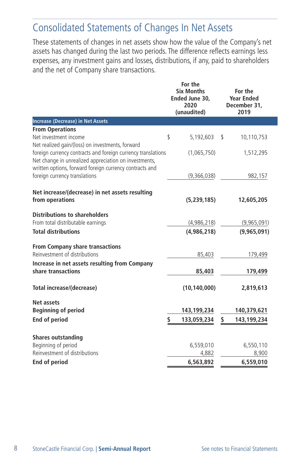### Consolidated Statements of Changes In Net Assets

These statements of changes in net assets show how the value of the Company's net assets has changed during the last two periods. The difference reflects earnings less expenses, any investment gains and losses, distributions, if any, paid to shareholders and the net of Company share transactions.

|                                                                                                                                                                                  |    | For the<br><b>Six Months</b><br>Ended June 30,<br>2020<br>(unaudited) | For the<br><b>Year Ended</b><br>December 31,<br>2019 |             |  |
|----------------------------------------------------------------------------------------------------------------------------------------------------------------------------------|----|-----------------------------------------------------------------------|------------------------------------------------------|-------------|--|
| <b>Increase (Decrease) in Net Assets</b>                                                                                                                                         |    |                                                                       |                                                      |             |  |
| <b>From Operations</b><br>Net investment income<br>Net realized gain/(loss) on investments, forward                                                                              | \$ | 5,192,603                                                             | \$                                                   | 10,110,753  |  |
| foreign currency contracts and foreign currency translations<br>Net change in unrealized appreciation on investments,<br>written options, forward foreign currency contracts and |    | (1,065,750)                                                           |                                                      | 1,512,295   |  |
| foreign currency translations                                                                                                                                                    |    | (9,366,038)                                                           |                                                      | 982,157     |  |
| Net increase/(decrease) in net assets resulting<br>from operations                                                                                                               |    | (5,239,185)                                                           |                                                      | 12,605,205  |  |
| <b>Distributions to shareholders</b>                                                                                                                                             |    |                                                                       |                                                      |             |  |
| From total distributable earnings                                                                                                                                                |    | (4,986,218)                                                           |                                                      | (9,965,091) |  |
| <b>Total distributions</b>                                                                                                                                                       |    | (4,986,218)                                                           |                                                      | (9,965,091) |  |
| <b>From Company share transactions</b><br>Reinvestment of distributions                                                                                                          |    | 85,403                                                                |                                                      | 179,499     |  |
| Increase in net assets resulting from Company<br>share transactions                                                                                                              |    | 85,403                                                                |                                                      | 179,499     |  |
| Total increase/(decrease)                                                                                                                                                        |    | (10, 140, 000)                                                        |                                                      | 2,819,613   |  |
| <b>Net assets</b>                                                                                                                                                                |    |                                                                       |                                                      |             |  |
| <b>Beginning of period</b>                                                                                                                                                       |    | 143,199,234                                                           |                                                      | 140,379,621 |  |
| <b>End of period</b>                                                                                                                                                             | \$ | 133,059,234                                                           | \$                                                   | 143,199,234 |  |
| <b>Shares outstanding</b>                                                                                                                                                        |    |                                                                       |                                                      |             |  |
| Beginning of period                                                                                                                                                              |    | 6,559,010                                                             |                                                      | 6,550,110   |  |
| Reinvestment of distributions                                                                                                                                                    |    | 4,882                                                                 |                                                      | 8,900       |  |
| End of period                                                                                                                                                                    |    | 6,563,892                                                             |                                                      | 6,559,010   |  |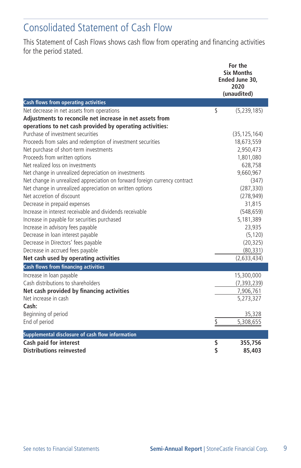### Consolidated Statement of Cash Flow

This Statement of Cash Flows shows cash flow from operating and financing activities for the period stated.

|                                                                            | For the<br><b>Six Months</b><br>Ended June 30.<br>2020 |
|----------------------------------------------------------------------------|--------------------------------------------------------|
|                                                                            | (unaudited)                                            |
| <b>Cash flows from operating activities</b>                                |                                                        |
| Net decrease in net assets from operations                                 | \$<br>(5, 239, 185)                                    |
| Adjustments to reconcile net increase in net assets from                   |                                                        |
| operations to net cash provided by operating activities:                   |                                                        |
| Purchase of investment securities                                          | (35, 125, 164)                                         |
| Proceeds from sales and redemption of investment securities                | 18,673,559                                             |
| Net purchase of short-term investments                                     | 2,950,473                                              |
| Proceeds from written options                                              | 1,801,080                                              |
| Net realized loss on investments                                           | 628,758                                                |
| Net change in unrealized depreciation on investments                       | 9,660,967                                              |
| Net change in unrealized appreciation on forward foreign currency contract | (347)                                                  |
| Net change in unrealized appreciation on written options                   | (287, 330)                                             |
| Net accretion of discount                                                  | (278, 949)                                             |
| Decrease in prepaid expenses                                               | 31,815                                                 |
| Increase in interest receivable and dividends receivable                   | (548, 659)                                             |
| Increase in payable for securities purchased                               | 5,181,389                                              |
| Increase in advisory fees payable                                          | 23,935                                                 |
| Decrease in loan interest payable                                          | (5, 120)                                               |
| Decrease in Directors' fees payable                                        | (20, 325)                                              |
| Decrease in accrued fees payable                                           | (80, 331)                                              |
| Net cash used by operating activities                                      | (2,633,434)                                            |
| <b>Cash flows from financing activities</b>                                |                                                        |
| Increase in loan payable                                                   | 15,300,000                                             |
| Cash distributions to shareholders                                         | (7, 393, 239)                                          |
| Net cash provided by financing activities                                  | 7,906,761                                              |
| Net increase in cash                                                       | 5,273,327                                              |
| Cash:                                                                      |                                                        |
| Beginning of period                                                        | 35,328                                                 |
| End of period                                                              | \$<br>5,308,655                                        |
| Supplemental disclosure of cash flow information                           |                                                        |
| Cash paid for interest                                                     | \$<br>355,756                                          |
| <b>Distributions reinvested</b>                                            | \$<br>85,403                                           |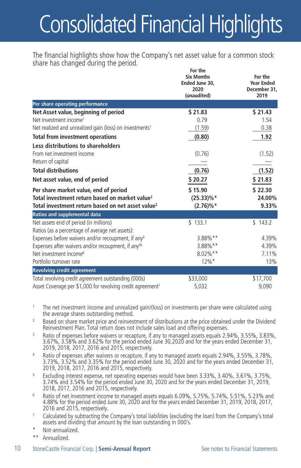# Consolidated Financial Highlights

The financial highlights show how the Company's net asset value for a common stock share has changed during the period. **For the**

|                                                                                                                                                                      | <b>Six Months</b><br>Ended June 30,<br>2020<br>(unaudited) | For the<br><b>Year Ended</b><br>December 31,<br>2019 |  |
|----------------------------------------------------------------------------------------------------------------------------------------------------------------------|------------------------------------------------------------|------------------------------------------------------|--|
| Per share operating performance                                                                                                                                      |                                                            |                                                      |  |
| Net Asset value, beginning of period                                                                                                                                 | \$21.83                                                    | \$21.43                                              |  |
| Net investment income <sup>1</sup>                                                                                                                                   | 0.79                                                       | 1.54                                                 |  |
| Net realized and unrealized gain (loss) on investments <sup>1</sup>                                                                                                  | (1.59)                                                     | 0.38                                                 |  |
| <b>Total from investment operations</b>                                                                                                                              | (0.80)                                                     | 1.92                                                 |  |
| Less distributions to shareholders                                                                                                                                   |                                                            |                                                      |  |
| From net investment income                                                                                                                                           | (0.76)                                                     | (1.52)                                               |  |
| Return of capital                                                                                                                                                    |                                                            |                                                      |  |
| <b>Total distributions</b>                                                                                                                                           | (0.76)                                                     | (1.52)                                               |  |
| Net asset value, end of period                                                                                                                                       | \$20.27                                                    | \$21.83                                              |  |
| Per share market value, end of period<br>Total investment return based on market value <sup>2</sup><br>Total investment return based on net asset value <sup>2</sup> | \$15.90<br>$(25.33)\%*$<br>$(2.76)\%*$                     | \$22.30<br>24.00%<br>9.33%                           |  |
| Ratios and supplemental data                                                                                                                                         |                                                            |                                                      |  |
| Net assets end of period (in millions)<br>Ratios (as a percentage of average net assets):                                                                            | \$133.1                                                    | \$143.2                                              |  |
| Expenses before waivers and/or recoupment, if any <sup>3</sup>                                                                                                       | 3.88%**                                                    | 4.39%                                                |  |
| Expenses after waivers and/or recoupment, if any <sup>45</sup>                                                                                                       | 3.88%**                                                    | 4.39%                                                |  |
| Net investment income <sup>6</sup>                                                                                                                                   | 8.02%**                                                    | 7.11%                                                |  |
| Portfolio turnover rate                                                                                                                                              | $12\%$ *                                                   | 13%                                                  |  |
| <b>Revolving credit agreement</b>                                                                                                                                    |                                                            |                                                      |  |
| Total revolving credit agreement outstanding (000s)                                                                                                                  | \$33,000                                                   | \$17,700                                             |  |
| Asset Coverage per \$1,000 for revolving credit agreement?                                                                                                           | 5,032                                                      | 9,090                                                |  |

<sup>1</sup> The net investment income and unrealized gain/(loss) on investments per share were calculated using the average shares outstanding method.

- <sup>2</sup> Based on share market price and reinvestment of distributions at the price obtained under the Dividend Reinvestment Plan. Total return does not include sales load and offering expenses.
- Ratio of expenses before waivers or recapture, if any to managed assets equals 2.94%, 3.55%, 3.83%, 3.67%, 3.58% and 3.62% for the period ended June 30,2020 and for the years ended December 31, 2019, 2018, 2017, 2016 and 2015, respectively.
- <sup>4</sup> Ratio of expenses after waivers or recapture, if any to managed assets equals 2.94%, 3.55%, 3.78%, 3.73%, 3.52% and 3.35% for the period ended June 30, 2020 and for the years ended December 31, 2019, 2018, 2017, 2016 and 2015, respectively.
- <sup>5</sup> Excluding interest expense, net operating expenses would have been 3.33%, 3.40%, 3.61%, 3.75%, 3.74% and 3.54% for the period ended June 30, 2020 and for the years ended December 31, 2019, 2018, 2017, 2016 and 2015, respectively.
- <sup>6</sup> Ratio of net investment income to managed assets equals 6.09%, 5.75%, 5.74%, 5.51%, 5.23% and 4.88% for the period ended June 30, 2020 and for the years ended December 31, 2019, 2018, 2017, 2016 and 2015, respectively.
- <sup>7</sup> Calculated by subtracting the Company's total liabilities (excluding the loan) from the Company's total assets and dividing that amount by the loan outstanding in 000's.
- Not-annualized.
- \*\* Annualized.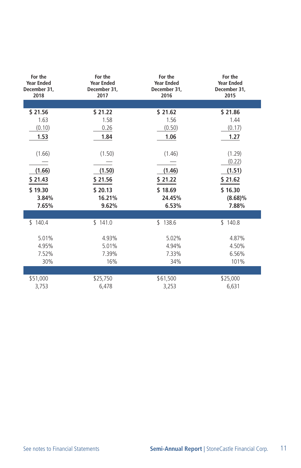| For the<br><b>Year Ended</b><br>December 31,<br>2018 | For the<br><b>Year Ended</b><br>December 31,<br>2017 | For the<br><b>Year Ended</b><br>December 31,<br>2016 | For the<br><b>Year Ended</b><br>December 31,<br>2015 |
|------------------------------------------------------|------------------------------------------------------|------------------------------------------------------|------------------------------------------------------|
|                                                      |                                                      |                                                      |                                                      |
| \$21.56                                              | \$21.22                                              | \$21.62                                              | \$21.86                                              |
| 1.63                                                 | 1.58                                                 | 1.56                                                 | 1.44                                                 |
| (0.10)                                               | 0.26                                                 | (0.50)                                               | (0.17)                                               |
| 1.53                                                 | 1.84                                                 | 1.06                                                 | 1.27                                                 |
|                                                      |                                                      |                                                      |                                                      |
| (1.66)                                               | (1.50)                                               | (1.46)                                               | (1.29)                                               |
|                                                      |                                                      |                                                      | (0.22)                                               |
| (1.66)                                               | (1.50)                                               | (1.46)                                               | (1.51)                                               |
| \$21.43                                              | \$21.56                                              | \$ 21.22                                             | \$21.62                                              |
| \$19.30                                              | \$20.13                                              | \$18.69                                              | \$16.30                                              |
| 3.84%                                                | 16.21%                                               | 24.45%                                               | $(8.68)\%$                                           |
| 7.65%                                                | 9.62%                                                | 6.53%                                                | 7.88%                                                |
|                                                      |                                                      |                                                      |                                                      |
| \$140.4                                              | \$141.0                                              | \$138.6                                              | \$140.8                                              |
| 5.01%                                                | 4.93%                                                | 5.02%                                                | 4.87%                                                |
| 4.95%                                                | 5.01%                                                | 4.94%                                                | 4.50%                                                |
| 7.52%                                                | 7.39%                                                | 7.33%                                                | 6.56%                                                |
| 30%                                                  | 16%                                                  | 34%                                                  | 101%                                                 |
|                                                      |                                                      |                                                      |                                                      |
| \$51,000                                             | \$25,750                                             | \$61,500                                             | \$25,000                                             |
| 3,753                                                | 6,478                                                | 3,253                                                | 6,631                                                |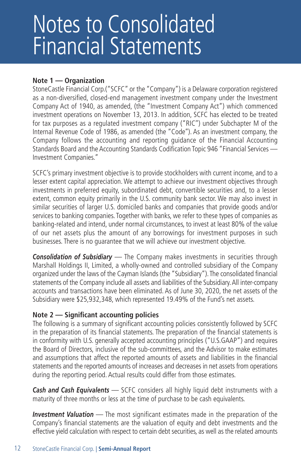### Notes to Consolidated Financial Statements

#### **Note 1 — Organization**

StoneCastle Financial Corp.("SCFC" or the "Company") is a Delaware corporation registered as a non-diversified, closed-end management investment company under the Investment Company Act of 1940, as amended, (the "Investment Company Act") which commenced investment operations on November 13, 2013. In addition, SCFC has elected to be treated for tax purposes as a regulated investment company ("RIC'') under Subchapter M of the Internal Revenue Code of 1986, as amended (the "Code''). As an investment company, the Company follows the accounting and reporting guidance of the Financial Accounting Standards Board and the Accounting Standards Codification Topic 946 "Financial Services — Investment Companies."

SCFC's primary investment objective is to provide stockholders with current income, and to a lesser extent capital appreciation. We attempt to achieve our investment objectives through investments in preferred equity, subordinated debt, convertible securities and, to a lesser extent, common equity primarily in the U.S. community bank sector. We may also invest in similar securities of larger U.S. domiciled banks and companies that provide goods and/or services to banking companies. Together with banks, we refer to these types of companies as banking-related and intend, under normal circumstances, to invest at least 80% of the value of our net assets plus the amount of any borrowings for investment purposes in such businesses. There is no guarantee that we will achieve our investment objective.

*Consolidation of Subsidiary* — The Company makes investments in securities through Marshall Holdings II, Limited, a wholly-owned and controlled subsidiary of the Company organized under the laws of the Cayman Islands (the "Subsidiary"). The consolidated financial statements of the Company include all assets and liabilities of the Subsidiary. All inter-company accounts and transactions have been eliminated. As of June 30, 2020, the net assets of the Subsidiary were \$25,932,348, which represented 19.49% of the Fund's net assets.

#### **Note 2 — Significant accounting policies**

The following is a summary of significant accounting policies consistently followed by SCFC in the preparation of its financial statements. The preparation of the financial statements is in conformity with U.S. generally accepted accounting principles ("U.S.GAAP") and requires the Board of Directors, inclusive of the sub-committees, and the Advisor to make estimates and assumptions that affect the reported amounts of assets and liabilities in the financial statements and the reported amounts of increases and decreases in net assets from operations during the reporting period. Actual results could differ from those estimates.

*Cash and Cash Equivalents* — SCFC considers all highly liquid debt instruments with a maturity of three months or less at the time of purchase to be cash equivalents.

*Investment Valuation* — The most significant estimates made in the preparation of the Company's financial statements are the valuation of equity and debt investments and the effective yield calculation with respect to certain debt securities, as well as the related amounts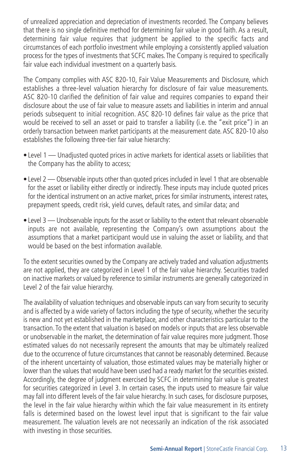of unrealized appreciation and depreciation of investments recorded. The Company believes that there is no single definitive method for determining fair value in good faith. As a result, determining fair value requires that judgment be applied to the specific facts and circumstances of each portfolio investment while employing a consistently applied valuation process for the types of investments that SCFC makes. The Company is required to specifically fair value each individual investment on a quarterly basis.

The Company complies with ASC 820-10, Fair Value Measurements and Disclosure, which establishes a three-level valuation hierarchy for disclosure of fair value measurements. ASC 820-10 clarified the definition of fair value and requires companies to expand their disclosure about the use of fair value to measure assets and liabilities in interim and annual periods subsequent to initial recognition. ASC 820-10 defines fair value as the price that would be received to sell an asset or paid to transfer a liability (i.e. the "exit price") in an orderly transaction between market participants at the measurement date. ASC 820-10 also establishes the following three-tier fair value hierarchy:

- Level 1 Unadjusted quoted prices in active markets for identical assets or liabilities that the Company has the ability to access;
- Level 2 Observable inputs other than quoted prices included in level 1 that are observable for the asset or liability either directly or indirectly. These inputs may include quoted prices for the identical instrument on an active market, prices for similar instruments, interest rates, prepayment speeds, credit risk, yield curves, default rates, and similar data; and
- Level 3 Unobservable inputs for the asset or liability to the extent that relevant observable inputs are not available, representing the Company's own assumptions about the assumptions that a market participant would use in valuing the asset or liability, and that would be based on the best information available.

To the extent securities owned by the Company are actively traded and valuation adjustments are not applied, they are categorized in Level 1 of the fair value hierarchy. Securities traded on inactive markets or valued by reference to similar instruments are generally categorized in Level 2 of the fair value hierarchy.

The availability of valuation techniques and observable inputs can vary from security to security and is affected by a wide variety of factors including the type of security, whether the security is new and not yet established in the marketplace, and other characteristics particular to the transaction. To the extent that valuation is based on models or inputs that are less observable or unobservable in the market, the determination of fair value requires more judgment. Those estimated values do not necessarily represent the amounts that may be ultimately realized due to the occurrence of future circumstances that cannot be reasonably determined. Because of the inherent uncertainty of valuation, those estimated values may be materially higher or lower than the values that would have been used had a ready market for the securities existed. Accordingly, the degree of judgment exercised by SCFC in determining fair value is greatest for securities categorized in Level 3. In certain cases, the inputs used to measure fair value may fall into different levels of the fair value hierarchy. In such cases, for disclosure purposes, the level in the fair value hierarchy within which the fair value measurement in its entirety falls is determined based on the lowest level input that is significant to the fair value measurement. The valuation levels are not necessarily an indication of the risk associated with investing in those securities.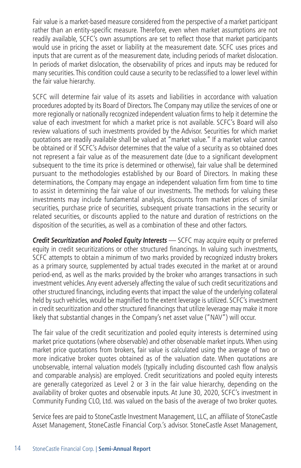Fair value is a market-based measure considered from the perspective of a market participant rather than an entity-specific measure. Therefore, even when market assumptions are not readily available, SCFC's own assumptions are set to reflect those that market participants would use in pricing the asset or liability at the measurement date. SCFC uses prices and inputs that are current as of the measurement date, including periods of market dislocation. In periods of market dislocation, the observability of prices and inputs may be reduced for many securities. This condition could cause a security to be reclassified to a lower level within the fair value hierarchy.

SCFC will determine fair value of its assets and liabilities in accordance with valuation procedures adopted by its Board of Directors. The Company may utilize the services of one or more regionally or nationally recognized independent valuation firms to help it determine the value of each investment for which a market price is not available. SCFC's Board will also review valuations of such investments provided by the Advisor. Securities for which market quotations are readily available shall be valued at "market value." If a market value cannot be obtained or if SCFC's Advisor determines that the value of a security as so obtained does not represent a fair value as of the measurement date (due to a significant development subsequent to the time its price is determined or otherwise), fair value shall be determined pursuant to the methodologies established by our Board of Directors. In making these determinations, the Company may engage an independent valuation firm from time to time to assist in determining the fair value of our investments. The methods for valuing these investments may include fundamental analysis, discounts from market prices of similar securities, purchase price of securities, subsequent private transactions in the security or related securities, or discounts applied to the nature and duration of restrictions on the disposition of the securities, as well as a combination of these and other factors.

*Credit Securitization and Pooled Equity Interests* — SCFC may acquire equity or preferred equity in credit securitizations or other structured financings. In valuing such investments, SCFC attempts to obtain a minimum of two marks provided by recognized industry brokers as a primary source, supplemented by actual trades executed in the market at or around period-end, as well as the marks provided by the broker who arranges transactions in such investment vehicles. Any event adversely affecting the value of such credit securitizations and other structured financings, including events that impact the value of the underlying collateral held by such vehicles, would be magnified to the extent leverage is utilized. SCFC's investment in credit securitization and other structured financings that utilize leverage may make it more likely that substantial changes in the Company's net asset value ("NAV") will occur.

The fair value of the credit securitization and pooled equity interests is determined using market price quotations (where observable) and other observable market inputs. When using market price quotations from brokers, fair value is calculated using the average of two or more indicative broker quotes obtained as of the valuation date. When quotations are unobservable, internal valuation models (typically including discounted cash flow analysis and comparable analysis) are employed. Credit securitizations and pooled equity interests are generally categorized as Level 2 or 3 in the fair value hierarchy, depending on the availability of broker quotes and observable inputs. At June 30, 2020, SCFC's investment in Community Funding CLO, Ltd. was valued on the basis of the average of two broker quotes.

Service fees are paid to StoneCastle Investment Management, LLC, an affiliate of StoneCastle Asset Management, StoneCastle Financial Corp.'s advisor. StoneCastle Asset Management,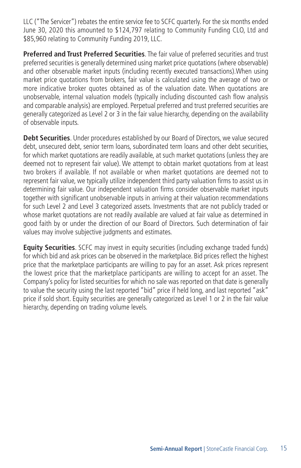LLC ("The Servicer") rebates the entire service fee to SCFC quarterly. For the six months ended June 30, 2020 this amounted to \$124,797 relating to Community Funding CLO, Ltd and \$85,960 relating to Community Funding 2019, LLC.

**Preferred and Trust Preferred Securities**. The fair value of preferred securities and trust preferred securities is generally determined using market price quotations (where observable) and other observable market inputs (including recently executed transactions).When using market price quotations from brokers, fair value is calculated using the average of two or more indicative broker quotes obtained as of the valuation date. When quotations are unobservable, internal valuation models (typically including discounted cash flow analysis and comparable analysis) are employed. Perpetual preferred and trust preferred securities are generally categorized as Level 2 or 3 in the fair value hierarchy, depending on the availability of observable inputs.

**Debt Securities**. Under procedures established by our Board of Directors, we value secured debt, unsecured debt, senior term loans, subordinated term loans and other debt securities, for which market quotations are readily available, at such market quotations (unless they are deemed not to represent fair value). We attempt to obtain market quotations from at least two brokers if available. If not available or when market quotations are deemed not to represent fair value, we typically utilize independent third party valuation firms to assist us in determining fair value. Our independent valuation firms consider observable market inputs together with significant unobservable inputs in arriving at their valuation recommendations for such Level 2 and Level 3 categorized assets. Investments that are not publicly traded or whose market quotations are not readily available are valued at fair value as determined in good faith by or under the direction of our Board of Directors. Such determination of fair values may involve subjective judgments and estimates.

**Equity Securities**. SCFC may invest in equity securities (including exchange traded funds) for which bid and ask prices can be observed in the marketplace. Bid prices reflect the highest price that the marketplace participants are willing to pay for an asset. Ask prices represent the lowest price that the marketplace participants are willing to accept for an asset. The Company's policy for listed securities for which no sale was reported on that date is generally to value the security using the last reported "bid" price if held long, and last reported "ask" price if sold short. Equity securities are generally categorized as Level 1 or 2 in the fair value hierarchy, depending on trading volume levels.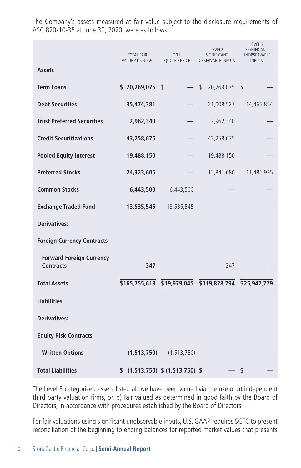|                                                     | <b>TOTAL FAIR</b><br>VALUE AT 6-30-20 | LEVEL 1<br>SIGNIFICANT<br>QUOTED PRICE<br>OBSERVABLE INPUTS |                                                       | LEVEL 3<br>SIGNIFICANT<br>UNOBSERVABLE<br><b>INPUTS</b> |
|-----------------------------------------------------|---------------------------------------|-------------------------------------------------------------|-------------------------------------------------------|---------------------------------------------------------|
| Assets                                              |                                       |                                                             |                                                       |                                                         |
| <b>Term Loans</b>                                   | \$20,269,075                          |                                                             | - \$<br>20,269,075 \$                                 |                                                         |
| <b>Debt Securities</b>                              | 35,474,381                            |                                                             | 21,008,527                                            | 14,465,854                                              |
| <b>Trust Preferred Securities</b>                   | 2,962,340                             |                                                             | 2,962,340                                             |                                                         |
| <b>Credit Securitizations</b>                       | 43,258,675                            |                                                             | 43,258,675                                            |                                                         |
| <b>Pooled Equity Interest</b>                       | 19,488,150                            |                                                             | 19,488,150                                            |                                                         |
| <b>Preferred Stocks</b>                             | 24,323,605                            |                                                             | 12,841,680                                            | 11,481,925                                              |
| <b>Common Stocks</b>                                | 6,443,500                             | 6,443,500                                                   |                                                       |                                                         |
| <b>Exchange Traded Fund</b>                         | 13,535,545                            | 13,535,545                                                  |                                                       |                                                         |
| <b>Derivatives:</b>                                 |                                       |                                                             |                                                       |                                                         |
| <b>Foreign Currency Contracts</b>                   |                                       |                                                             |                                                       |                                                         |
| <b>Forward Foreign Currency</b><br><b>Contracts</b> | 347                                   |                                                             | 347                                                   |                                                         |
| <b>Total Assets</b>                                 |                                       |                                                             | \$165,755,618 \$19,979,045 \$119,828,794 \$25,947,779 |                                                         |
| <b>Liabilities</b>                                  |                                       |                                                             |                                                       |                                                         |
| <b>Derivatives:</b>                                 |                                       |                                                             |                                                       |                                                         |
| <b>Equity Risk Contracts</b>                        |                                       |                                                             |                                                       |                                                         |
| <b>Written Options</b>                              |                                       | $(1,513,750)$ $(1,513,750)$                                 |                                                       |                                                         |
| <b>Total Liabilities</b>                            | \$                                    | $(1,513,750)$ \$ $(1,513,750)$ \$                           |                                                       | $\mathsf{\$}$                                           |

The Company's assets measured at fair value subject to the disclosure requirements of ASC 820-10-35 at June 30, 2020, were as follows:

The Level 3 categorized assets listed above have been valued via the use of a) independent third party valuation firms, or, b) fair valued as determined in good faith by the Board of Directors, in accordance with procedures established by the Board of Directors.

For fair valuations using significant unobservable inputs, U.S. GAAP requires SCFC to present reconciliation of the beginning to ending balances for reported market values that presents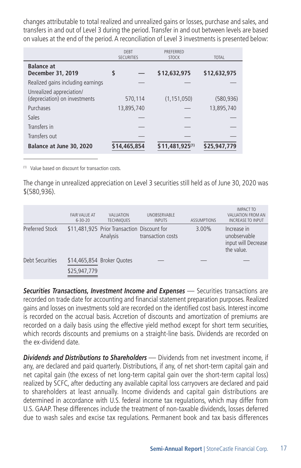changes attributable to total realized and unrealized gains or losses, purchase and sales, and transfers in and out of Level 3 during the period. Transfer in and out between levels are based on values at the end of the period. A reconciliation of Level 3 investments is presented below:

|                                                           | DFBT<br><b>SECURITIES</b> | PRFFFRRFD<br><b>STOCK</b> | <b>TOTAL</b> |  |
|-----------------------------------------------------------|---------------------------|---------------------------|--------------|--|
| <b>Balance at</b><br>December 31, 2019                    | \$                        | \$12,632,975              | \$12,632,975 |  |
| Realized gains including earnings                         |                           |                           |              |  |
| Unrealized appreciation/<br>(depreciation) on investments | 570,114                   | (1, 151, 050)             | (580.936)    |  |
| Purchases                                                 | 13,895,740                |                           | 13,895,740   |  |
| Sales                                                     |                           |                           |              |  |
| Transfers in                                              |                           |                           |              |  |
| Transfers out                                             |                           |                           |              |  |
| Balance at June 30, 2020                                  | \$14,465,854              | \$11,481,925(1)           | \$25,947,779 |  |

(1) Value based on discount for transaction costs.

The change in unrealized appreciation on Level 3 securities still held as of June 30, 2020 was \$(580,936).

|                 | FAIR VAI UF AT<br>$6 - 30 - 20$ | <b>VAI UATION</b><br><b>TECHNIOUES</b>                  | <b>UNOBSERVABLE</b><br><b>INPUTS</b> | <b>ASSUMPTIONS</b> | <b>IMPACT TO</b><br>VALUATION FROM AN<br><b>INCREASE TO INPUT</b> |
|-----------------|---------------------------------|---------------------------------------------------------|--------------------------------------|--------------------|-------------------------------------------------------------------|
| Preferred Stock |                                 | \$11,481,925 Prior Transaction Discount for<br>Analysis | transaction costs                    | 3.00%              | Increase in<br>unobservable<br>input will Decrease<br>the value.  |
| Debt Securities | \$25,947,779                    | \$14,465,854 Broker Quotes                              |                                      |                    |                                                                   |

*Securities Transactions, Investment Income and Expenses* — Securities transactions are recorded on trade date for accounting and financial statement preparation purposes. Realized gains and losses on investments sold are recorded on the identified cost basis. Interest income is recorded on the accrual basis. Accretion of discounts and amortization of premiums are recorded on a daily basis using the effective yield method except for short term securities, which records discounts and premiums on a straight-line basis. Dividends are recorded on the ex-dividend date.

*Dividends and Distributions to Shareholders* — Dividends from net investment income, if any, are declared and paid quarterly. Distributions, if any, of net short-term capital gain and net capital gain (the excess of net long-term capital gain over the short-term capital loss) realized by SCFC, after deducting any available capital loss carryovers are declared and paid to shareholders at least annually. Income dividends and capital gain distributions are determined in accordance with U.S. federal income tax regulations, which may differ from U.S. GAAP. These differences include the treatment of non-taxable dividends, losses deferred due to wash sales and excise tax regulations. Permanent book and tax basis differences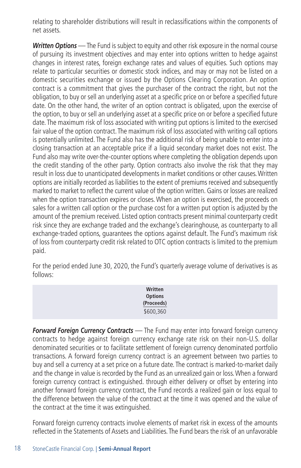relating to shareholder distributions will result in reclassifications within the components of net assets.

*Written Options* — The Fund is subject to equity and other risk exposure in the normal course of pursuing its investment objectives and may enter into options written to hedge against changes in interest rates, foreign exchange rates and values of equities. Such options may relate to particular securities or domestic stock indices, and may or may not be listed on a domestic securities exchange or issued by the Options Clearing Corporation. An option contract is a commitment that gives the purchaser of the contract the right, but not the obligation, to buy or sell an underlying asset at a specific price on or before a specified future date. On the other hand, the writer of an option contract is obligated, upon the exercise of the option, to buy or sell an underlying asset at a specific price on or before a specified future date. The maximum risk of loss associated with writing put options is limited to the exercised fair value of the option contract. The maximum risk of loss associated with writing call options is potentially unlimited. The Fund also has the additional risk of being unable to enter into a closing transaction at an acceptable price if a liquid secondary market does not exist. The Fund also may write over-the-counter options where completing the obligation depends upon the credit standing of the other party. Option contracts also involve the risk that they may result in loss due to unanticipated developments in market conditions or other causes. Written options are initially recorded as liabilities to the extent of premiums received and subsequently marked to market to reflect the current value of the option written. Gains or losses are realized when the option transaction expires or closes. When an option is exercised, the proceeds on sales for a written call option or the purchase cost for a written put option is adjusted by the amount of the premium received. Listed option contracts present minimal counterparty credit risk since they are exchange traded and the exchange's clearinghouse, as counterparty to all exchange-traded options, guarantees the options against default. The Fund's maximum risk of loss from counterparty credit risk related to OTC option contracts is limited to the premium paid.

For the period ended June 30, 2020, the Fund's quarterly average volume of derivatives is as follows:

| Written        |  |
|----------------|--|
| <b>Options</b> |  |
| (Proceeds)     |  |
| \$600,360      |  |

*Forward Foreign Currency Contracts* — The Fund may enter into forward foreign currency contracts to hedge against foreign currency exchange rate risk on their non-U.S. dollar denominated securities or to facilitate settlement of foreign currency denominated portfolio transactions. A forward foreign currency contract is an agreement between two parties to buy and sell a currency at a set price on a future date. The contract is marked-to-market daily and the change in value is recorded by the Fund as an unrealized gain or loss. When a forward foreign currency contract is extinguished. through either delivery or offset by entering into another forward foreign currency contract, the Fund records a realized gain or loss equal to the difference between the value of the contract at the time it was opened and the value of the contract at the time it was extinguished.

Forward foreign currency contracts involve elements of market risk in excess of the amounts reflected in the Statements of Assets and Liabilities. The Fund bears the risk of an unfavorable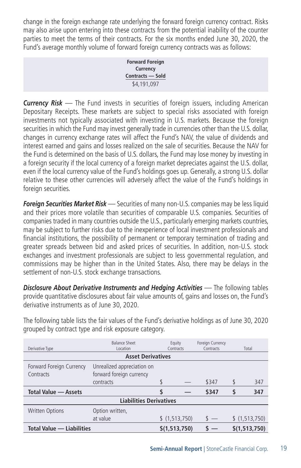change in the foreign exchange rate underlying the forward foreign currency contract. Risks may also arise upon entering into these contracts from the potential inability of the counter parties to meet the terms of their contracts. For the six months ended June 30, 2020, the Fund's average monthly volume of forward foreign currency contracts was as follows:

> **Forward Foreign Currency Contracts — Sold** \$4,191,097

*Currency Risk* — The Fund invests in securities of foreign issuers, including American Depositary Receipts. These markets are subject to special risks associated with foreign investments not typically associated with investing in U.S. markets. Because the foreign securities in which the Fund may invest generally trade in currencies other than the U.S. dollar, changes in currency exchange rates will affect the Fund's NAV, the value of dividends and interest earned and gains and losses realized on the sale of securities. Because the NAV for the Fund is determined on the basis of U.S. dollars, the Fund may lose money by investing in a foreign security if the local currency of a foreign market depreciates against the U.S. dollar, even if the local currency value of the Fund's holdings goes up. Generally, a strong U.S. dollar relative to these other currencies will adversely affect the value of the Fund's holdings in foreign securities.

*Foreign Securities Market Risk* — Securities of many non-U.S. companies may be less liquid and their prices more volatile than securities of comparable U.S. companies. Securities of companies traded in many countries outside the U.S., particularly emerging markets countries, may be subject to further risks due to the inexperience of local investment professionals and financial institutions, the possibility of permanent or temporary termination of trading and greater spreads between bid and asked prices of securities. In addition, non-U.S. stock exchanges and investment professionals are subject to less governmental regulation, and commissions may be higher than in the United States. Also, there may be delays in the settlement of non-U.S. stock exchange transactions.

*Disclosure About Derivative Instruments and Hedging Activities* — The following tables provide quantitative disclosures about fair value amounts of, gains and losses on, the Fund's derivative instruments as of June 30, 2020.

| The following table lists the fair values of the Fund's derivative holdings as of June 30, 2020 |  |
|-------------------------------------------------------------------------------------------------|--|
| grouped by contract type and risk exposure category.                                            |  |

|                                  | <b>Balance Sheet</b>           |   | Equity        | Foreign Currency |    |               |
|----------------------------------|--------------------------------|---|---------------|------------------|----|---------------|
| Derivative Type                  | Location                       |   | Contracts     | Contracts        |    | Total         |
|                                  | <b>Asset Derivatives</b>       |   |               |                  |    |               |
| Forward Foreign Currency         | Unrealized appreciation on     |   |               |                  |    |               |
| Contracts                        | forward foreign currency       |   |               |                  |    |               |
|                                  | contracts                      |   |               | \$347            |    | 347           |
| <b>Total Value - Assets</b>      |                                | S |               | \$347            | \$ | 347           |
|                                  | <b>Liabilities Derivatives</b> |   |               |                  |    |               |
| <b>Written Options</b>           | Option written,                |   |               |                  |    |               |
|                                  | at value                       |   | \$(1,513,750) | $s =$            |    | \$(1,513,750) |
| <b>Total Value - Liabilities</b> |                                |   | \$(1,513,750) |                  |    | \$(1,513,750) |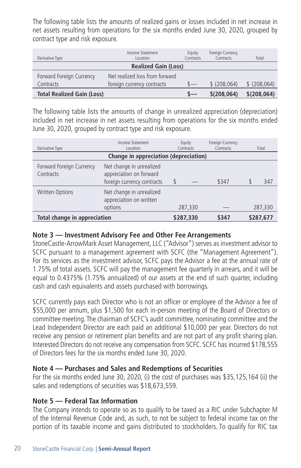The following table lists the amounts of realized gains or losses included in net increase in net assets resulting from operations for the six months ended June 30, 2020, grouped by contract type and risk exposure.

| Derivative Type                   | Income Statement<br>Location   | Equity<br>Contracts | Foreign Currency<br>Contracts | Total       |
|-----------------------------------|--------------------------------|---------------------|-------------------------------|-------------|
|                                   | <b>Realized Gain (Loss)</b>    |                     |                               |             |
| Forward Foreign Currency          | Net realized loss from forward |                     |                               |             |
| Contracts                         | foreign currency contracts     | $\mathcal{S}-$      | $$$ (208.064)                 | \$(208,064) |
| <b>Total Realized Gain (Loss)</b> |                                |                     | \$(208,064)                   | \$(208,064) |

The following table lists the amounts of change in unrealized appreciation (depreciation) included in net increase in net assets resulting from operations for the six months ended June 30, 2020, grouped by contract type and risk exposure.

| Derivative Type                                                                          | Income Statement<br>Location                                                      | Equity<br>Contracts | Foreign Currency<br>Contracts | Total   |
|------------------------------------------------------------------------------------------|-----------------------------------------------------------------------------------|---------------------|-------------------------------|---------|
|                                                                                          | Change in appreciation (depreciation)                                             |                     |                               |         |
| Forward Foreign Currency<br>Contracts                                                    | Net change in unrealized<br>appreciation on forward<br>foreign currency contracts | \$                  | \$347                         | 347     |
| Net change in unrealized<br><b>Written Options</b><br>appreciation on written<br>options |                                                                                   | 287,330             |                               | 287,330 |
| <b>Total change in appreciation</b>                                                      | \$287,330                                                                         | \$347               | \$287,677                     |         |

#### **Note 3 — Investment Advisory Fee and Other Fee Arrangements**

StoneCastle-ArrowMark Asset Management, LLC ("Advisor") serves as investment advisor to SCFC pursuant to a management agreement with SCFC (the "Management Agreement"). For its services as the investment advisor, SCFC pays the Advisor a fee at the annual rate of 1.75% of total assets. SCFC will pay the management fee quarterly in arrears, and it will be equal to 0.4375% (1.75% annualized) of our assets at the end of such quarter, including cash and cash equivalents and assets purchased with borrowings.

SCFC currently pays each Director who is not an officer or employee of the Advisor a fee of \$55,000 per annum, plus \$1,500 for each in-person meeting of the Board of Directors or committee meeting. The chairman of SCFC's audit committee, nominating committee and the Lead Independent Director are each paid an additional \$10,000 per year. Directors do not receive any pension or retirement plan benefits and are not part of any profit sharing plan. Interested Directors do not receive any compensation from SCFC. SCFC has incurred \$178,555 of Directors fees for the six months ended June 30, 2020.

#### **Note 4 — Purchases and Sales and Redemptions of Securities**

For the six months ended June 30, 2020, (i) the cost of purchases was \$35,125,164 (ii) the sales and redemptions of securities was \$18,673,559.

#### **Note 5 — Federal Tax Information**

The Company intends to operate so as to qualify to be taxed as a RIC under Subchapter M of the Internal Revenue Code and, as such, to not be subject to federal income tax on the portion of its taxable income and gains distributed to stockholders. To qualify for RIC tax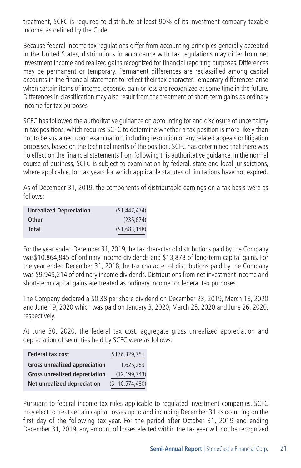treatment, SCFC is required to distribute at least 90% of its investment company taxable income, as defined by the Code.

Because federal income tax regulations differ from accounting principles generally accepted in the United States, distributions in accordance with tax regulations may differ from net investment income and realized gains recognized for financial reporting purposes. Differences may be permanent or temporary. Permanent differences are reclassified among capital accounts in the financial statement to reflect their tax character. Temporary differences arise when certain items of income, expense, gain or loss are recognized at some time in the future. Differences in classification may also result from the treatment of short-term gains as ordinary income for tax purposes.

SCFC has followed the authoritative guidance on accounting for and disclosure of uncertainty in tax positions, which requires SCFC to determine whether a tax position is more likely than not to be sustained upon examination, including resolution of any related appeals or litigation processes, based on the technical merits of the position. SCFC has determined that there was no effect on the financial statements from following this authoritative guidance. In the normal course of business, SCFC is subject to examination by federal, state and local jurisdictions, where applicable, for tax years for which applicable statutes of limitations have not expired.

As of December 31, 2019, the components of distributable earnings on a tax basis were as follows:

| <b>Unrealized Depreciation</b> | (\$1,447,474) |
|--------------------------------|---------------|
| <b>Other</b>                   | (235, 674)    |
| Total                          | (\$1,683,148) |

For the year ended December 31, 2019,the tax character of distributions paid by the Company was\$10,864,845 of ordinary income dividends and \$13,878 of long-term capital gains. For the year ended December 31, 2018,the tax character of distributions paid by the Company was \$9,949,214 of ordinary income dividends. Distributions from net investment income and short-term capital gains are treated as ordinary income for federal tax purposes.

The Company declared a \$0.38 per share dividend on December 23, 2019, March 18, 2020 and June 19, 2020 which was paid on January 3, 2020, March 25, 2020 and June 26, 2020, respectively.

At June 30, 2020, the federal tax cost, aggregate gross unrealized appreciation and depreciation of securities held by SCFC were as follows:

| <b>Federal tax cost</b>              | \$176,329,751  |
|--------------------------------------|----------------|
| <b>Gross unrealized appreciation</b> | 1,625,263      |
| <b>Gross unrealized depreciation</b> | (12, 199, 743) |
| Net unrealized depreciation          | 10,574,480)    |

Pursuant to federal income tax rules applicable to regulated investment companies, SCFC may elect to treat certain capital losses up to and including December 31 as occurring on the first day of the following tax year. For the period after October 31, 2019 and ending December 31, 2019, any amount of losses elected within the tax year will not be recognized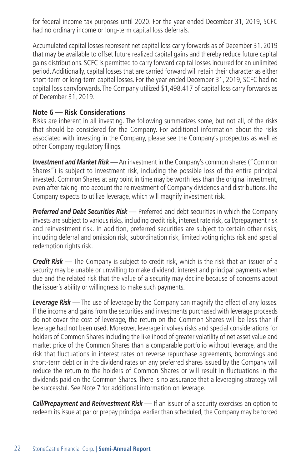for federal income tax purposes until 2020. For the year ended December 31, 2019, SCFC had no ordinary income or long-term capital loss deferrals.

Accumulated capital losses represent net capital loss carry forwards as of December 31, 2019 that may be available to offset future realized capital gains and thereby reduce future capital gains distributions. SCFC is permitted to carry forward capital losses incurred for an unlimited period. Additionally, capital losses that are carried forward will retain their character as either short-term or long-term capital losses. For the year ended December 31, 2019, SCFC had no capital loss carryforwards. The Company utilized \$1,498,417 of capital loss carry forwards as of December 31, 2019.

#### **Note 6 — Risk Considerations**

Risks are inherent in all investing. The following summarizes some, but not all, of the risks that should be considered for the Company. For additional information about the risks associated with investing in the Company, please see the Company's prospectus as well as other Company regulatory filings.

*Investment and Market Risk* — An investment in the Company's common shares ("Common Shares") is subject to investment risk, including the possible loss of the entire principal invested. Common Shares at any point in time may be worth less than the original investment, even after taking into account the reinvestment of Company dividends and distributions. The Company expects to utilize leverage, which will magnify investment risk.

*Preferred and Debt Securities Risk* — Preferred and debt securities in which the Company invests are subject to various risks, including credit risk, interest rate risk, call/prepayment risk and reinvestment risk. In addition, preferred securities are subject to certain other risks, including deferral and omission risk, subordination risk, limited voting rights risk and special redemption rights risk.

*Credit Risk* — The Company is subject to credit risk, which is the risk that an issuer of a security may be unable or unwilling to make dividend, interest and principal payments when due and the related risk that the value of a security may decline because of concerns about the issuer's ability or willingness to make such payments.

*Leverage Risk* — The use of leverage by the Company can magnify the effect of any losses. If the income and gains from the securities and investments purchased with leverage proceeds do not cover the cost of leverage, the return on the Common Shares will be less than if leverage had not been used. Moreover, leverage involves risks and special considerations for holders of Common Shares including the likelihood of greater volatility of net asset value and market price of the Common Shares than a comparable portfolio without leverage, and the risk that fluctuations in interest rates on reverse repurchase agreements, borrowings and short-term debt or in the dividend rates on any preferred shares issued by the Company will reduce the return to the holders of Common Shares or will result in fluctuations in the dividends paid on the Common Shares. There is no assurance that a leveraging strategy will be successful. See Note 7 for additional information on leverage.

*Call/Prepayment and Reinvestment Risk* — If an issuer of a security exercises an option to redeem its issue at par or prepay principal earlier than scheduled, the Company may be forced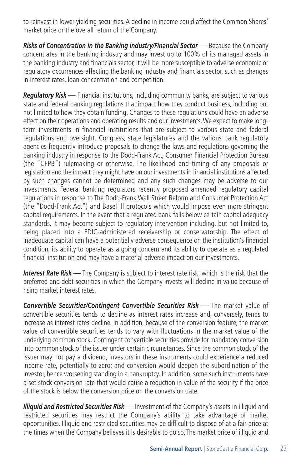to reinvest in lower yielding securities. A decline in income could affect the Common Shares' market price or the overall return of the Company.

*Risks of Concentration in the Banking industry/Financial Sector* — Because the Company concentrates in the banking industry and may invest up to 100% of its managed assets in the banking industry and financials sector, it will be more susceptible to adverse economic or regulatory occurrences affecting the banking industry and financials sector, such as changes in interest rates, loan concentration and competition.

*Regulatory Risk* — Financial institutions, including community banks, are subject to various state and federal banking regulations that impact how they conduct business, including but not limited to how they obtain funding. Changes to these regulations could have an adverse effect on their operations and operating results and our investments. We expect to make longterm investments in financial institutions that are subject to various state and federal regulations and oversight. Congress, state legislatures and the various bank regulatory agencies frequently introduce proposals to change the laws and regulations governing the banking industry in response to the Dodd-Frank Act, Consumer Financial Protection Bureau (the "CFPB") rulemaking or otherwise. The likelihood and timing of any proposals or legislation and the impact they might have on our investments in financial institutions affected by such changes cannot be determined and any such changes may be adverse to our investments. Federal banking regulators recently proposed amended regulatory capital regulations in response to The Dodd-Frank Wall Street Reform and Consumer Protection Act (the "Dodd-Frank Act") and Basel Ill protocols which would impose even more stringent capital requirements. In the event that a regulated bank falls below certain capital adequacy standards, it may become subject to regulatory intervention including, but not limited to, being placed into a FDIC-administered receivership or conservatorship. The effect of inadequate capital can have a potentially adverse consequence on the institution's financial condition, its ability to operate as a going concern and its ability to operate as a regulated financial institution and may have a material adverse impact on our investments.

*Interest Rate Risk* — The Company is subject to interest rate risk, which is the risk that the preferred and debt securities in which the Company invests will decline in value because of rising market interest rates.

*Convertible Securities/Contingent Convertible Securities Risk* — The market value of convertible securities tends to decline as interest rates increase and, conversely, tends to increase as interest rates decline. In addition, because of the conversion feature, the market value of convertible securities tends to vary with fluctuations in the market value of the underlying common stock. Contingent convertible securities provide for mandatory conversion into common stock of the issuer under certain circumstances. Since the common stock of the issuer may not pay a dividend, investors in these instruments could experience a reduced income rate, potentially to zero; and conversion would deepen the subordination of the investor, hence worsening standing in a bankruptcy. In addition, some such instruments have a set stock conversion rate that would cause a reduction in value of the security if the price of the stock is below the conversion price on the conversion date.

*Illiquid and Restricted Securities Risk* — Investment of the Company's assets in illiquid and restricted securities may restrict the Company's ability to take advantage of market opportunities. Illiquid and restricted securities may be difficult to dispose of at a fair price at the times when the Company believes it is desirable to do so. The market price of illiquid and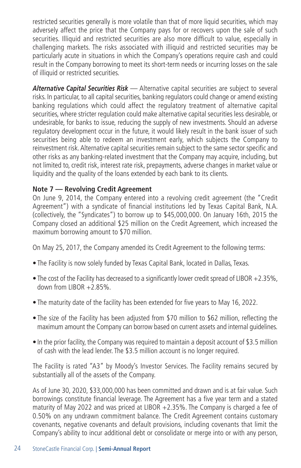restricted securities generally is more volatile than that of more liquid securities, which may adversely affect the price that the Company pays for or recovers upon the sale of such securities. Illiquid and restricted securities are also more difficult to value, especially in challenging markets. The risks associated with illiquid and restricted securities may be particularly acute in situations in which the Company's operations require cash and could result in the Company borrowing to meet its short-term needs or incurring losses on the sale of illiquid or restricted securities.

*Alternative Capital Securities Risk* — Alternative capital securities are subject to several risks. In particular, to all capital securities, banking regulators could change or amend existing banking regulations which could affect the regulatory treatment of alternative capital securities, where stricter regulation could make alternative capital securities less desirable, or undesirable, for banks to issue, reducing the supply of new investments. Should an adverse regulatory development occur in the future, it would likely result in the bank issuer of such securities being able to redeem an investment early, which subjects the Company to reinvestment risk. Alternative capital securities remain subject to the same sector specific and other risks as any banking-related investment that the Company may acquire, including, but not limited to, credit risk, interest rate risk, prepayments, adverse changes in market value or liquidity and the quality of the loans extended by each bank to its clients.

#### **Note 7 — Revolving Credit Agreement**

On June 9, 2014, the Company entered into a revolving credit agreement (the "Credit Agreement") with a syndicate of financial institutions led by Texas Capital Bank, N.A. (collectively, the "Syndicates") to borrow up to \$45,000,000. On January 16th, 2015 the Company closed an additional \$25 million on the Credit Agreement, which increased the maximum borrowing amount to \$70 million.

On May 25, 2017, the Company amended its Credit Agreement to the following terms:

- The Facility is now solely funded by Texas Capital Bank, located in Dallas, Texas.
- The cost of the Facility has decreased to a significantly lower credit spread of LIBOR +2.35%, down from LIBOR  $+2.85\%$ .
- The maturity date of the facility has been extended for five years to May 16, 2022.
- The size of the Facility has been adjusted from \$70 million to \$62 million, reflecting the maximum amount the Company can borrow based on current assets and internal guidelines.
- In the prior facility, the Company was required to maintain a deposit account of \$3.5 million of cash with the lead lender. The \$3.5 million account is no longer required.

The Facility is rated "A3" by Moody's Investor Services. The Facility remains secured by substantially all of the assets of the Company.

As of June 30, 2020, \$33,000,000 has been committed and drawn and is at fair value. Such borrowings constitute financial leverage. The Agreement has a five year term and a stated maturity of May 2022 and was priced at LIBOR +2.35%. The Company is charged a fee of 0.50% on any undrawn commitment balance. The Credit Agreement contains customary covenants, negative covenants and default provisions, including covenants that limit the Company's ability to incur additional debt or consolidate or merge into or with any person,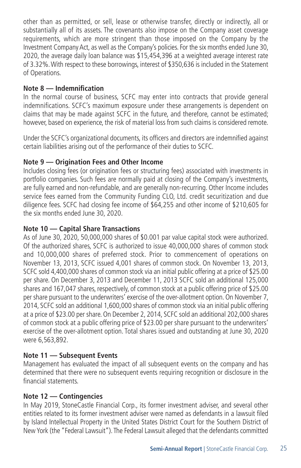other than as permitted, or sell, lease or otherwise transfer, directly or indirectly, all or substantially all of its assets. The covenants also impose on the Company asset coverage requirements, which are more stringent than those imposed on the Company by the Investment Company Act, as well as the Company's policies. For the six months ended June 30, 2020, the average daily loan balance was \$15,454,396 at a weighted average interest rate of 3.32%. With respect to these borrowings, interest of \$350,636 is included in the Statement of Operations.

#### **Note 8 — Indemnification**

In the normal course of business, SCFC may enter into contracts that provide general indemnifications. SCFC's maximum exposure under these arrangements is dependent on claims that may be made against SCFC in the future, and therefore, cannot be estimated; however, based on experience, the risk of material loss from such claims is considered remote.

Under the SCFC's organizational documents, its officers and directors are indemnified against certain liabilities arising out of the performance of their duties to SCFC.

#### **Note 9 — Origination Fees and Other Income**

Includes closing fees (or origination fees or structuring fees) associated with investments in portfolio companies. Such fees are normally paid at closing of the Company's investments, are fully earned and non-refundable, and are generally non-recurring. Other Income includes service fees earned from the Community Funding CLO, Ltd. credit securitization and due diligence fees. SCFC had closing fee income of \$64,255 and other income of \$210,605 for the six months ended June 30, 2020.

#### **Note 10 — Capital Share Transactions**

As of June 30, 2020, 50,000,000 shares of \$0.001 par value capital stock were authorized. Of the authorized shares, SCFC is authorized to issue 40,000,000 shares of common stock and 10,000,000 shares of preferred stock. Prior to commencement of operations on November 13, 2013, SCFC issued 4,001 shares of common stock. On November 13, 2013, SCFC sold 4,400,000 shares of common stock via an initial public offering at a price of \$25.00 per share. On December 3, 2013 and December 11, 2013 SCFC sold an additional 125,000 shares and 167,047 shares, respectively, of common stock at a public offering price of \$25.00 per share pursuant to the underwriters' exercise of the over-allotment option. On November 7, 2014, SCFC sold an additional 1,600,000 shares of common stock via an initial public offering at a price of \$23.00 per share. On December 2, 2014, SCFC sold an additional 202,000 shares of common stock at a public offering price of \$23.00 per share pursuant to the underwriters' exercise of the over-allotment option. Total shares issued and outstanding at June 30, 2020 were 6,563,892.

#### **Note 11 — Subsequent Events**

Management has evaluated the impact of all subsequent events on the company and has determined that there were no subsequent events requiring recognition or disclosure in the financial statements.

#### **Note 12 — Contingencies**

In May 2019, StoneCastle Financial Corp., its former investment adviser, and several other entities related to its former investment adviser were named as defendants in a lawsuit filed by Island Intellectual Property in the United States District Court for the Southern District of New York (the "Federal Lawsuit"). The Federal Lawsuit alleged that the defendants committed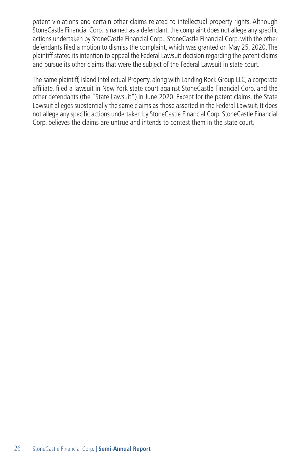patent violations and certain other claims related to intellectual property rights. Although StoneCastle Financial Corp. is named as a defendant, the complaint does not allege any specific actions undertaken by StoneCastle Financial Corp.. StoneCastle Financial Corp. with the other defendants filed a motion to dismiss the complaint, which was granted on May 25, 2020. The plaintiff stated its intention to appeal the Federal Lawsuit decision regarding the patent claims and pursue its other claims that were the subject of the Federal Lawsuit in state court.

The same plaintiff, Island Intellectual Property, along with Landing Rock Group LLC, a corporate affiliate, filed a lawsuit in New York state court against StoneCastle Financial Corp. and the other defendants (the "State Lawsuit") in June 2020. Except for the patent claims, the State Lawsuit alleges substantially the same claims as those asserted in the Federal Lawsuit. It does not allege any specific actions undertaken by StoneCastle Financial Corp. StoneCastle Financial Corp. believes the claims are untrue and intends to contest them in the state court.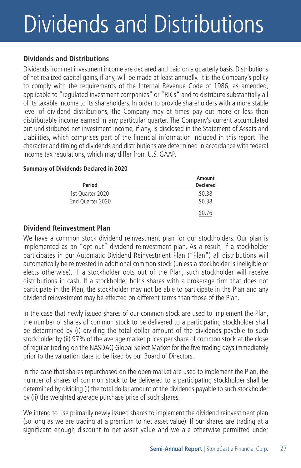# Dividends and Distributions

#### **Dividends and Distributions**

Dividends from net investment income are declared and paid on a quarterly basis. Distributions of net realized capital gains, if any, will be made at least annually. It is the Company's policy to comply with the requirements of the Internal Revenue Code of 1986, as amended, applicable to "regulated investment companies" or "RICs" and to distribute substantially all of its taxable income to its shareholders. In order to provide shareholders with a more stable level of dividend distributions, the Company may at times pay out more or less than distributable income earned in any particular quarter. The Company's current accumulated but undistributed net investment income, if any, is disclosed in the Statement of Assets and Liabilities, which comprises part of the financial information included in this report. The character and timing of dividends and distributions are determined in accordance with federal income tax regulations, which may differ from U.S. GAAP.

#### **Summary of Dividends Declared in 2020**

|                  | Amount          |  |  |
|------------------|-----------------|--|--|
| Period           | <b>Declared</b> |  |  |
| 1st Quarter 2020 | \$0.38          |  |  |
| 2nd Quarter 2020 | \$0.38          |  |  |
|                  | \$0.76          |  |  |

#### **Dividend Reinvestment Plan**

We have a common stock dividend reinvestment plan for our stockholders. Our plan is implemented as an "opt out" dividend reinvestment plan. As a result, if a stockholder participates in our Automatic Dividend Reinvestment Plan ("Plan") all distributions will automatically be reinvested in additional common stock (unless a stockholder is ineligible or elects otherwise). If a stockholder opts out of the Plan, such stockholder will receive distributions in cash. If a stockholder holds shares with a brokerage firm that does not participate in the Plan, the stockholder may not be able to participate in the Plan and any dividend reinvestment may be effected on different terms than those of the Plan.

In the case that newly issued shares of our common stock are used to implement the Plan, the number of shares of common stock to be delivered to a participating stockholder shall be determined by (i) dividing the total dollar amount of the dividends payable to such stockholder by (ii) 97% of the average market prices per share of common stock at the close of regular trading on the NASDAQ Global Select Market for the five trading days immediately prior to the valuation date to be fixed by our Board of Directors.

In the case that shares repurchased on the open market are used to implement the Plan, the number of shares of common stock to be delivered to a participating stockholder shall be determined by dividing (i) the total dollar amount of the dividends payable to such stockholder by (ii) the weighted average purchase price of such shares.

We intend to use primarily newly issued shares to implement the dividend reinvestment plan (so long as we are trading at a premium to net asset value). If our shares are trading at a significant enough discount to net asset value and we are otherwise permitted under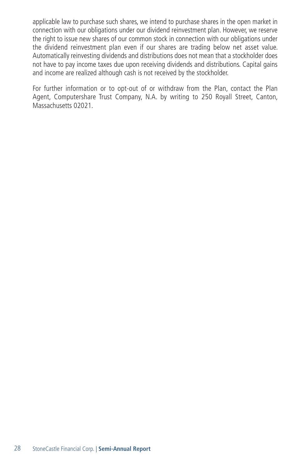applicable law to purchase such shares, we intend to purchase shares in the open market in connection with our obligations under our dividend reinvestment plan. However, we reserve the right to issue new shares of our common stock in connection with our obligations under the dividend reinvestment plan even if our shares are trading below net asset value. Automatically reinvesting dividends and distributions does not mean that a stockholder does not have to pay income taxes due upon receiving dividends and distributions. Capital gains and income are realized although cash is not received by the stockholder.

For further information or to opt-out of or withdraw from the Plan, contact the Plan Agent, Computershare Trust Company, N.A. by writing to 250 Royall Street, Canton, Massachusetts 02021.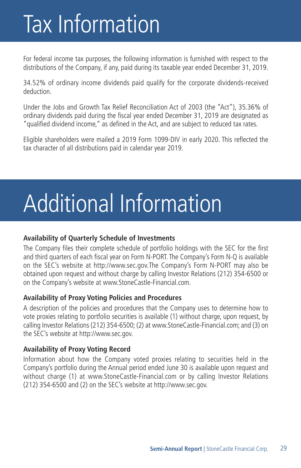## Tax Information

For federal income tax purposes, the following information is furnished with respect to the distributions of the Company, if any, paid during its taxable year ended December 31, 2019.

34.52% of ordinary income dividends paid qualify for the corporate dividends-received deduction.

Under the Jobs and Growth Tax Relief Reconciliation Act of 2003 (the "Act"), 35.36% of ordinary dividends paid during the fiscal year ended December 31, 2019 are designated as "qualified dividend income," as defined in the Act, and are subject to reduced tax rates.

Eligible shareholders were mailed a 2019 Form 1099-DIV in early 2020. This reflected the tax character of all distributions paid in calendar year 2019.

# Additional Information

#### **Availability of Quarterly Schedule of Investments**

The Company files their complete schedule of portfolio holdings with the SEC for the first and third quarters of each fiscal year on Form N-PORT. The Company's Form N-Q is available on the SEC's website at http://www.sec.gov.The Company's Form N-PORT may also be obtained upon request and without charge by calling Investor Relations (212) 354-6500 or on the Company's website at www.StoneCastle-Financial.com.

#### **Availability of Proxy Voting Policies and Procedures**

A description of the policies and procedures that the Company uses to determine how to vote proxies relating to portfolio securities is available (1) without charge, upon request, by calling Investor Relations (212) 354-6500; (2) at www.StoneCastle-Financial.com; and (3) on the SEC's website at http://www.sec.gov.

#### **Availability of Proxy Voting Record**

Information about how the Company voted proxies relating to securities held in the Company's portfolio during the Annual period ended June 30 is available upon request and without charge (1) at www.StoneCastle-Financial.com or by calling Investor Relations (212) 354-6500 and (2) on the SEC's website at http://www.sec.gov.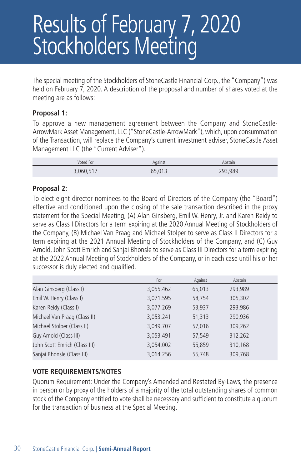### Results of February 7, 2020 Stockholders Meeting

The special meeting of the Stockholders of StoneCastle Financial Corp., the "Company") was held on February 7, 2020. A description of the proposal and number of shares voted at the meeting are as follows:

#### **Proposal 1:**

To approve a new management agreement between the Company and StoneCastle-ArrowMark Asset Management, LLC ("StoneCastle-ArrowMark"), which, upon consummation of the Transaction, will replace the Company's current investment adviser, StoneCastle Asset Management LLC (the "Current Adviser").

| Voted For | Against           | Abstain |
|-----------|-------------------|---------|
| 3,060,517 | <b>65013</b><br>◡ | 293,989 |

#### **Proposal 2:**

To elect eight director nominees to the Board of Directors of the Company (the "Board") effective and conditioned upon the closing of the sale transaction described in the proxy statement for the Special Meeting, (A) Alan Ginsberg, Emil W. Henry, Jr. and Karen Reidy to serve as Class I Directors for a term expiring at the 2020 Annual Meeting of Stockholders of the Company, (B) Michael Van Praag and Michael Stolper to serve as Class II Directors for a term expiring at the 2021 Annual Meeting of Stockholders of the Company, and (C) Guy Arnold, John Scott Emrich and Sanjai Bhonsle to serve as Class III Directors for a term expiring at the 2022 Annual Meeting of Stockholders of the Company, or in each case until his or her successor is duly elected and qualified.

|                               | For       | Against | Abstain |
|-------------------------------|-----------|---------|---------|
| Alan Ginsberg (Class I)       | 3,055,462 | 65,013  | 293,989 |
| Emil W. Henry (Class I)       | 3,071,595 | 58,754  | 305,302 |
| Karen Reidy (Class I)         | 3,077,269 | 53,937  | 293,986 |
| Michael Van Praag (Class II)  | 3,053,241 | 51,313  | 290,936 |
| Michael Stolper (Class II)    | 3,049,707 | 57,016  | 309,262 |
| Guy Arnold (Class III)        | 3,053,491 | 57,549  | 312,262 |
| John Scott Emrich (Class III) | 3,054,002 | 55,859  | 310,168 |
| Sanjai Bhonsle (Class III)    | 3,064,256 | 55,748  | 309,768 |

#### **VOTE REQUIREMENTS/NOTES**

Quorum Requirement: Under the Company's Amended and Restated By-Laws, the presence in person or by proxy of the holders of a majority of the total outstanding shares of common stock of the Company entitled to vote shall be necessary and sufficient to constitute a quorum for the transaction of business at the Special Meeting.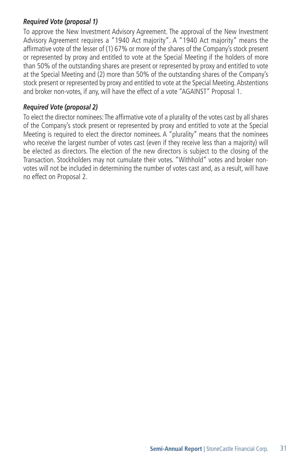#### *Required Vote (proposal 1)*

To approve the New Investment Advisory Agreement. The approval of the New Investment Advisory Agreement requires a "1940 Act majority". A "1940 Act majority" means the affirmative vote of the lesser of (1) 67% or more of the shares of the Company's stock present or represented by proxy and entitled to vote at the Special Meeting if the holders of more than 50% of the outstanding shares are present or represented by proxy and entitled to vote at the Special Meeting and (2) more than 50% of the outstanding shares of the Company's stock present or represented by proxy and entitled to vote at the Special Meeting. Abstentions and broker non-votes, if any, will have the effect of a vote "AGAINST" Proposal 1.

#### *Required Vote (proposal 2)*

To elect the director nominees: The affirmative vote of a plurality of the votes cast by all shares of the Company's stock present or represented by proxy and entitled to vote at the Special Meeting is required to elect the director nominees. A "plurality" means that the nominees who receive the largest number of votes cast (even if they receive less than a majority) will be elected as directors. The election of the new directors is subject to the closing of the Transaction. Stockholders may not cumulate their votes. "Withhold" votes and broker nonvotes will not be included in determining the number of votes cast and, as a result, will have no effect on Proposal 2.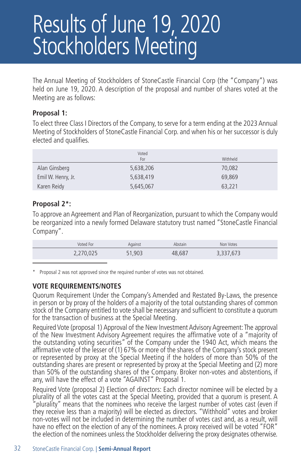### Results of June 19, 2020 Stockholders Meeting

The Annual Meeting of Stockholders of StoneCastle Financial Corp (the "Company") was held on June 19, 2020. A description of the proposal and number of shares voted at the Meeting are as follows:

#### **Proposal 1:**

To elect three Class I Directors of the Company, to serve for a term ending at the 2023 Annual Meeting of Stockholders of StoneCastle Financial Corp. and when his or her successor is duly elected and qualifies.

|                    | Voted<br>For | Withheld |
|--------------------|--------------|----------|
| Alan Ginsberg      | 5,638,206    | 70.082   |
| Emil W. Henry, Jr. | 5,638,419    | 69,869   |
| Karen Reidy        | 5,645,067    | 63,221   |

#### **Proposal 2\*:**

To approve an Agreement and Plan of Reorganization, pursuant to which the Company would be reorganized into a newly formed Delaware statutory trust named "StoneCastle Financial Company".

| Voted For            | Against | Abstain | Non Votes |  |
|----------------------|---------|---------|-----------|--|
| 270 025<br>2,210,02J | 51,903  | 48.687  | 3,337,673 |  |

\* Proposal 2 was not approved since the required number of votes was not obtained.

#### **VOTE REQUIREMENTS/NOTES**

Quorum Requirement Under the Company's Amended and Restated By-Laws, the presence in person or by proxy of the holders of a majority of the total outstanding shares of common stock of the Company entitled to vote shall be necessary and sufficient to constitute a quorum for the transaction of business at the Special Meeting.

Required Vote (proposal 1) Approval of the New Investment Advisory Agreement: The approval of the New Investment Advisory Agreement requires the affirmative vote of a "majority of the outstanding voting securities" of the Company under the 1940 Act, which means the affirmative vote of the lesser of (1) 67% or more of the shares of the Company's stock present or represented by proxy at the Special Meeting if the holders of more than 50% of the outstanding shares are present or represented by proxy at the Special Meeting and (2) more than 50% of the outstanding shares of the Company. Broker non-votes and abstentions, if any, will have the effect of a vote "AGAINST" Proposal 1.

Required Vote (proposal 2) Election of directors: Each director nominee will be elected by a plurality of all the votes cast at the Special Meeting, provided that a quorum is present. A plurality" means that the nominees who receive the largest number of votes cast (even if they receive less than a majority) will be elected as directors. "Withhold" votes and broker non-votes will not be included in determining the number of votes cast and, as a result, will have no effect on the election of any of the nominees. A proxy received will be voted "FOR" the election of the nominees unless the Stockholder delivering the proxy designates otherwise.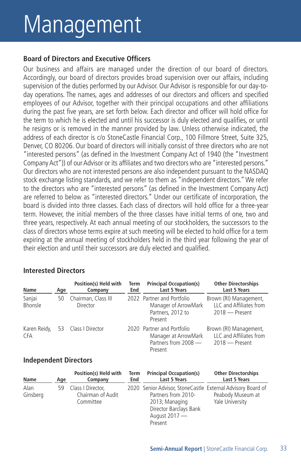## Management

#### **Board of Directors and Executive Officers**

Our business and affairs are managed under the direction of our board of directors. Accordingly, our board of directors provides broad supervision over our affairs, including supervision of the duties performed by our Advisor. Our Advisor is responsible for our day-today operations. The names, ages and addresses of our directors and officers and specified employees of our Advisor, together with their principal occupations and other affiliations during the past five years, are set forth below. Each director and officer will hold office for the term to which he is elected and until his successor is duly elected and qualifies, or until he resigns or is removed in the manner provided by law. Unless otherwise indicated, the address of each director is c/o StoneCastle Financial Corp., 100 Fillmore Street, Suite 325, Denver, CO 80206. Our board of directors will initially consist of three directors who are not "interested persons" (as defined in the Investment Company Act of 1940 (the "Investment Company Act")) of our Advisor or its affiliates and two directors who are "interested persons." Our directors who are not interested persons are also independent pursuant to the NASDAQ stock exchange listing standards, and we refer to them as "independent directors." We refer to the directors who are "interested persons" (as defined in the Investment Company Act) are referred to below as "interested directors." Under our certificate of incorporation, the board is divided into three classes. Each class of directors will hold office for a three-year term. However, the initial members of the three classes have initial terms of one, two and three years, respectively. At each annual meeting of our stockholders, the successors to the class of directors whose terms expire at such meeting will be elected to hold office for a term expiring at the annual meeting of stockholders held in the third year following the year of their election and until their successors are duly elected and qualified.

| Name                       | Age | Position(s) Held with<br>Company       | Term<br>End | <b>Principal Occupation(s)</b><br>Last 5 Years                                        | <b>Other Directorships</b><br>Last 5 Years                            |
|----------------------------|-----|----------------------------------------|-------------|---------------------------------------------------------------------------------------|-----------------------------------------------------------------------|
| Sanjai<br>Bhonsle          | 50  | Chairman, Class III<br><b>Director</b> |             | 2022 Partner and Portfolio<br>Manager of ArrowMark<br>Partners, 2012 to<br>Present    | Brown (RI) Management,<br>LLC and Affiliates from<br>$2018 -$ Present |
| Karen Reidy,<br><b>CFA</b> |     | 53 Class   Director                    |             | 2020 Partner and Portfolio<br>Manager at ArrowMark<br>Partners from 2008 -<br>Present | Brown (RI) Management,<br>LLC and Affiliates from<br>$2018 -$ Present |

#### **Interested Directors**

#### **Independent Directors**

| Name             | Age | Position(s) Held with<br>Company                       | Term<br>End | <b>Principal Occupation(s)</b><br><b>Last 5 Years</b>                                                                                                      | <b>Other Directorships</b><br>Last 5 Years |
|------------------|-----|--------------------------------------------------------|-------------|------------------------------------------------------------------------------------------------------------------------------------------------------------|--------------------------------------------|
| Alan<br>Ginsberg |     | 59 Class I Director,<br>Chairman of Audit<br>Committee |             | 2020 Senior Advisor, StoneCastle External Advisory Board of<br>Partners from 2010-<br>2013; Managing<br>Director Barclays Bank<br>August 2017 —<br>Present | Peabody Museum at<br>Yale University       |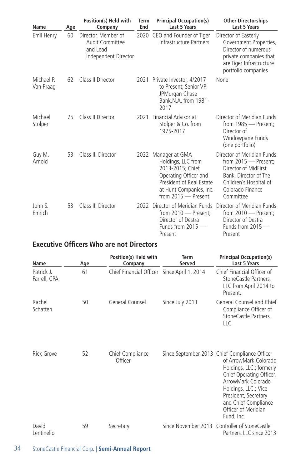| Name                    | Age | Position(s) Held with<br>Company                                           | Term<br>End | <b>Principal Occupation(s)</b><br><b>Last 5 Years</b>                                                                                                                | <b>Other Directorships</b><br><b>Last 5 Years</b>                                                                                                              |
|-------------------------|-----|----------------------------------------------------------------------------|-------------|----------------------------------------------------------------------------------------------------------------------------------------------------------------------|----------------------------------------------------------------------------------------------------------------------------------------------------------------|
| Emil Henry              | 60  | Director, Member of<br>Audit Committee<br>and Lead<br>Independent Director |             | 2020 CEO and Founder of Tiger<br>Infrastructure Partners                                                                                                             | Director of Easterly<br>Government Properties,<br>Director of numerous<br>private companies that<br>are Tiger Infrastructure<br>portfolio companies            |
| Michael P.<br>Van Praag | 62  | Class II Director                                                          |             | 2021 Private Investor, 4/2017<br>to Present; Senior VP,<br>JPMorgan Chase<br>Bank, N.A. from 1981-<br>2017                                                           | None                                                                                                                                                           |
| Michael<br>Stolper      | 75  | Class II Director                                                          |             | 2021 Financial Advisor at<br>Stolper & Co. from<br>1975-2017                                                                                                         | Director of Meridian Funds<br>from 1985 - Present;<br>Director of<br>Windowpane Funds<br>(one portfolio)                                                       |
| Guy M.<br>Arnold        | 53  | Class III Director                                                         |             | 2022 Manager at GMA<br>Holdings, LLC from<br>2013-2015; Chief<br>Operating Officer and<br>President of Real Estate<br>at Hunt Companies, Inc.<br>from 2015 - Present | Director of Meridian Funds<br>from 2015 - Present:<br>Director of MidFirst<br>Bank, Director of The<br>Children's Hospital of<br>Colorado Finance<br>Committee |
| John S.<br>Emrich       | 53  | Class III Director                                                         |             | 2022 Director of Meridian Funds<br>from 2010 - Present;<br>Director of Destra<br>Funds from $2015$ —<br>Present                                                      | Director of Meridian Funds<br>from 2010 - Present;<br>Director of Destra<br>Funds from $2015$ —<br>Present                                                     |

#### **Executive Officers Who are not Directors**

| Name                       | Age | Position(s) Held with<br>Company            | Term<br>Served  | <b>Principal Occupation(s)</b><br><b>Last 5 Years</b>                                                                                                                                                                                                             |
|----------------------------|-----|---------------------------------------------|-----------------|-------------------------------------------------------------------------------------------------------------------------------------------------------------------------------------------------------------------------------------------------------------------|
| Patrick J.<br>Farrell, CPA | 61  | Chief Financial Officer Since April 1, 2014 |                 | Chief Financial Officer of<br>StoneCastle Partners,<br>LLC from April 2014 to<br>Present.                                                                                                                                                                         |
| Rachel<br>Schatten         | 50  | General Counsel                             | Since July 2013 | General Counsel and Chief<br>Compliance Officer of<br>StoneCastle Partners,<br>ШC                                                                                                                                                                                 |
| Rick Grove                 | 52  | Chief Compliance<br>Officer                 |                 | Since September 2013 Chief Compliance Officer<br>of ArrowMark Colorado<br>Holdings, LLC.; formerly<br>Chief Operating Officer,<br>ArrowMark Colorado<br>Holdings, LLC.; Vice<br>President, Secretary<br>and Chief Compliance<br>Officer of Meridian<br>Fund, Inc. |
| David<br>Lentinello        | 59  | Secretary                                   |                 | Since November 2013 Controller of StoneCastle<br>Partners, LLC since 2013                                                                                                                                                                                         |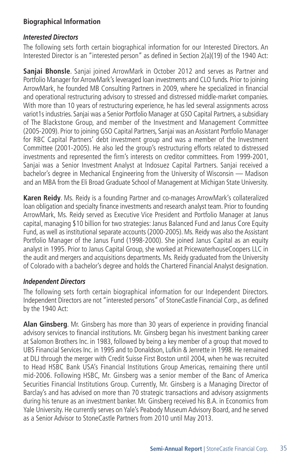#### **Biographical Information**

#### *Interested Directors*

The following sets forth certain biographical information for our Interested Directors. An Interested Director is an "interested person" as defined in Section 2(a)(19) of the 1940 Act:

**Saniai Bhonsle**. Saniai joined ArrowMark in October 2012 and serves as Partner and Portfolio Manager for ArrowMark's leveraged loan investments and CLO funds. Prior to joining ArrowMark, he founded MB Consulting Partners in 2009, where he specialized in financial and operational restructuring advisory to stressed and distressed middle-market companies. With more than 10 years of restructuring experience, he has led several assignments across variot1s industries. Sanjai was a Senior Portfolio Manager at GSO Capital Partners, a subsidiary of The Blackstone Group, and member of the Investment and Management Committee (2005-2009). Prior to joining GSO Capital Partners, Sanjai was an Assistant Portfolio Manager for RBC Capital Partners' debt investment group and was a member of the Investment Committee (2001-2005). He also led the group's restructuring efforts related to distressed investments and represented the firm's interests on creditor committees. From 1999-2001, Sanjai was a Senior Investment Analyst at lndosuez Capital Partners. Sanjai received a bachelor's degree in Mechanical Engineering from the University of Wisconsin — Madison and an MBA from the Eli Broad Graduate School of Management at Michigan State University.

**Karen Reidy**. Ms. Reidy is a founding Partner and co-manages ArrowMark's collateralized loan obligation and specialty finance investments and research analyst team. Prior to founding ArrowMark, Ms. Reidy served as Executive Vice President and Portfolio Manager at Janus capital, managing \$10 billion for two strategies: Janus Balanced Fund and Janus Core Equity Fund, as well as institutional separate accounts (2000-2005). Ms. Reidy was also the Assistant Portfolio Manager of the Janus Fund (1998-2000). She joined Janus Capital as an equity analyst in 1995. Prior to Janus Capital Group, she worked at PricewaterhouseCoopers LLC in the audit and mergers and acquisitions departments. Ms. Reidy graduated from the University of Colorado with a bachelor's degree and holds the Chartered Financial Analyst designation.

#### *Independent Directors*

The following sets forth certain biographical information for our Independent Directors. Independent Directors are not "interested persons" of StoneCastle Financial Corp., as defined by the 1940 Act:

**Alan Ginsberg**. Mr. Ginsberg has more than 30 years of experience in providing financial advisory services to financial institutions. Mr. Ginsberg began his investment banking career at Salomon Brothers Inc. in 1983, followed by being a key member of a group that moved to UBS Financial Services Inc. in 1995 and to Donaldson, Lufkin & Jenrette in 1998. He remained at DLJ through the merger with Credit Suisse First Boston until 2004, when he was recruited to Head HSBC Bank USA's Financial Institutions Group Americas, remaining there until mid-2006. Following HSBC, Mr. Ginsberg was a senior member of the Banc of America Securities Financial Institutions Group. Currently, Mr. Ginsberg is a Managing Director of Barclay's and has advised on more than 70 strategic transactions and advisory assignments during his tenure as an investment banker. Mr. Ginsberg received his B.A. in Economics from Yale University. He currently serves on Yale's Peabody Museum Advisory Board, and he served as a Senior Advisor to StoneCastle Partners from 2010 until May 2013.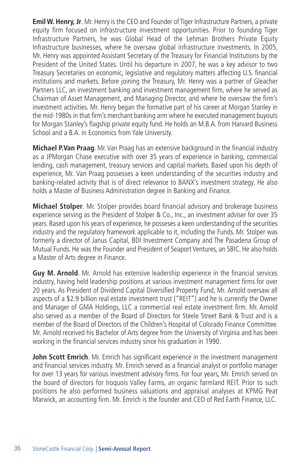**Emil W. Henry, Jr**. Mr. Henry is the CEO and Founder of Tiger Infrastructure Partners, a private equity firm focused on infrastructure investment opportunities. Prior to founding Tiger Infrastructure Partners, he was Global Head of the Lehman Brothers Private Equity Infrastructure businesses, where he oversaw global infrastructure investments. In 2005, Mr. Henry was appointed Assistant Secretary of the Treasury for Financial Institutions by the President of the United States. Until his departure in 2007, he was a key advisor to two Treasury Secretaries on economic, legislative and regulatory matters affecting U.S. financial institutions and markets. Before joining the Treasury, Mr. Henry was a partner of Gleacher Partners LLC, an investment banking and investment management firm, where he served as Chairman of Asset Management, and Managing Director, and where he oversaw the firm's investment activities. Mr. Henry began the formative part of his career at Morgan Stanley in the mid-1980s in that firm's merchant banking arm where he executed management buyouts for Morgan Stanley's flagship private equity fund. He holds an M.B.A. from Harvard Business School and a B.A. in Economics from Yale University.

**Michael P.Van Praag**. Mr. Van Praag has an extensive background in the financial industry as a JPMorgan Chase executive with over 35 years of experience in banking, commercial lending, cash management, treasury services and capital markets. Based upon his depth of experience, Mr. Van Praag possesses a keen understanding of the securities industry and banking-related activity that is of direct relevance to BANX's investment strategy. He also holds a Master of Business Administration degree in Banking and Finance.

**Michael Stolper**. Mr. Stolper provides board financial advisory and brokerage business experience serving as the President of Stolper & Co., Inc., an investment adviser for over 35 years. Based upon his years of experience, he posseses a keen understanding of the securities industry and the regulatory framework applicable to it, including the Funds. Mr. Stolper was formerly a director of Janus Capital, BDI Investment Company and The Pasadena Group of Mutual Funds. He was the Founder and President of Seaport Ventures, an SBIC. He also holds a Master of Arts degree in Finance.

**Guy M. Arnold**. Mr. Arnold has extensive leadership experience in the financial services industry, having held leadership positions at various investment management firms for over 20 years. As President of Dividend Capital Diversified Property Fund, Mr. Arnold oversaw all aspects of a \$2.9 billion real estate investment trust ("REIT") and he is currently the Owner and Manager of GMA Holdings, LLC a commercial real estate investment firm. Mr. Arnold also served as a member of the Board of Directors for Steele Street Bank & Trust and is a member of the Board of Directors of the Children's Hospital of Colorado Finance Committee. Mr. Arnold received his Bachelor of Arts degree from the University of Virginia and has been working in the financial services industry since his graduation in 1990.

**John Scott Emrich**. Mr. Emrich has significant experience in the investment management and financial services industry. Mr. Emrich served as a financial analyst or portfolio manager for over 13 years for various investment advisory firms. For four years, Mr. Emrich served on the board of directors for Iroquois Valley Farms, an organic farmland REIT. Prior to such positions he also performed business valuations and appraisal analyses at KPMG Peat Marwick, an accounting firm. Mr. Emrich is the founder and CEO of Red Earth Finance, LLC.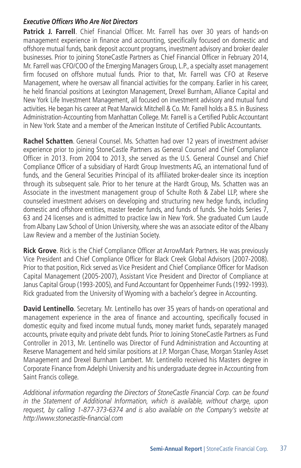#### *Executive Officers Who Are Not Directors*

Patrick J. Farrell. Chief Financial Officer. Mr. Farrell has over 30 years of hands-on management experience in finance and accounting, specifically focused on domestic and offshore mutual funds, bank deposit account programs, investment advisory and broker dealer businesses. Prior to joining StoneCastle Partners as Chief Financial Officer in February 2014, Mr. Farrell was CFO/COO of the Emerging Managers Group, L.P., a specialty asset management firm focused on offshore mutual funds. Prior to that, Mr. Farrell was CFO at Reserve Management, where he oversaw all financial activities for the company. Earlier in his career, he held financial positions at Lexington Management, Drexel Burnham, Alliance Capital and New York Life Investment Management, all focused on investment advisory and mutual fund activities. He began his career at Peat Marwick Mitchell & Co. Mr. Farrell holds a B.S. in Business Administration-Accounting from Manhattan College. Mr. Farrell is a Certified Public Accountant in New York State and a member of the American Institute of Certified Public Accountants.

**Rachel Schatten**. General Counsel. Ms. Schatten had over 12 years of investment adviser experience prior to joining StoneCastle Partners as General Counsel and Chief Compliance Officer in 2013. From 2004 to 2013, she served as the U.S. General Counsel and Chief Compliance Officer of a subsidiary of Hardt Group Investments AG, an international fund of funds, and the General Securities Principal of its affiliated broker-dealer since its inception through its subsequent sale. Prior to her tenure at the Hardt Group, Ms. Schatten was an Associate in the investment management group of Schulte Roth & Zabel LLP, where she counseled investment advisers on developing and structuring new hedge funds, including domestic and offshore entities, master feeder funds, and funds of funds. She holds Series 7, 63 and 24 licenses and is admitted to practice law in New York. She graduated Cum Laude from Albany Law School of Union University, where she was an associate editor of the Albany Law Review and a member of the Justinian Society.

**Rick Grove**. Rick is the Chief Compliance Officer at ArrowMark Partners. He was previously Vice President and Chief Compliance Officer for Black Creek Global Advisors {2007-2008). Prior to that position, Rick served as Vice President and Chief Compliance Officer for Madison Capital Management (2005-2007), Assistant Vice President and Director of Compliance at Janus Capital Group (1993-2005), and Fund Accountant for Oppenheimer Funds (1992-1993). Rick graduated from the University of Wyoming with a bachelor's degree in Accounting.

**David Lentinello**. Secretary. Mr. Lentinello has over 35 years of hands-on operational and management experience in the area of finance and accounting, specifically focused in domestic equity and fixed income mutual funds, money market funds, separately managed accounts, private equity and private debt funds. Prior to Joining StoneCastle Partners as Fund Controller in 2013, Mr. Lentinello was Director of Fund Administration and Accounting at Reserve Management and held similar positions at J.P. Morgan Chase, Morgan Stanley Asset Management and Drexel Burnham Lambert. Mr. Lentinello received his Masters degree in Corporate Finance from Adelphi University and his undergraduate degree in Accounting from Saint Francis college.

*Additional information regarding the Directors of StoneCastle Financial Corp. can be found in the Statement of Additional Information, which is available, without charge, upon request, by calling 1-877-373-6374 and is also available on the Company's website at http://www.stonecastle-financial.com*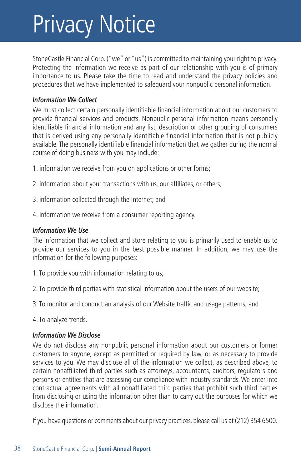## Privacy Notice

StoneCastle Financial Corp. ("we" or "us") is committed to maintaining your right to privacy. Protecting the information we receive as part of our relationship with you is of primary importance to us. Please take the time to read and understand the privacy policies and procedures that we have implemented to safeguard your nonpublic personal information.

#### *Information We Collect*

We must collect certain personally identifiable financial information about our customers to provide financial services and products. Nonpublic personal information means personally identifiable financial information and any list, description or other grouping of consumers that is derived using any personally identifiable financial information that is not publicly available. The personally identifiable financial information that we gather during the normal course of doing business with you may include:

- 1. information we receive from you on applications or other forms;
- 2. information about your transactions with us, our affiliates, or others;
- 3. information collected through the Internet; and
- 4. information we receive from a consumer reporting agency.

#### *Information We Use*

The information that we collect and store relating to you is primarily used to enable us to provide our services to you in the best possible manner. In addition, we may use the information for the following purposes:

- 1. To provide you with information relating to us;
- 2. To provide third parties with statistical information about the users of our website;
- 3. To monitor and conduct an analysis of our Website traffic and usage patterns; and
- 4. To analyze trends.

#### *Information We Disclose*

We do not disclose any nonpublic personal information about our customers or former customers to anyone, except as permitted or required by law, or as necessary to provide services to you. We may disclose all of the information we collect, as described above, to certain nonaffiliated third parties such as attorneys, accountants, auditors, regulators and persons or entities that are assessing our compliance with industry standards. We enter into contractual agreements with all nonaffiliated third parties that prohibit such third parties from disclosing or using the information other than to carry out the purposes for which we disclose the information.

If you have questions or comments about our privacy practices, please call us at (212) 354 6500.